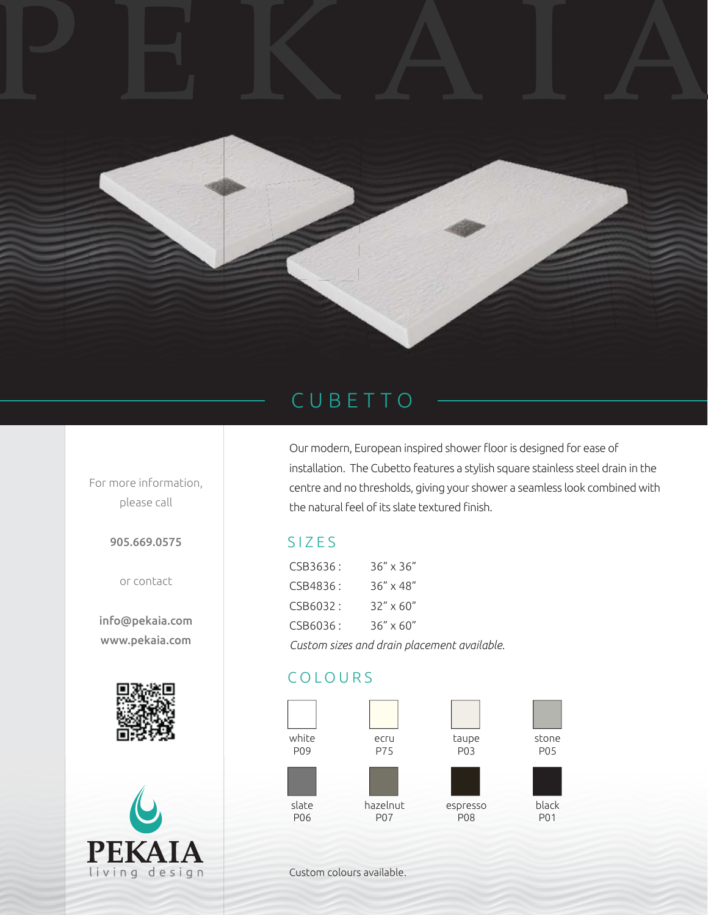

## CUBETTO

Our modern, European inspired shower floor is designed for ease of installation. The Cubetto features a stylish square stainless steel drain in the centre and no thresholds, giving your shower a seamless look combined with the natural feel of its slate textured finish.

## SIZES

| CSB3636:                                    | $36'' \times 36''$ |
|---------------------------------------------|--------------------|
| CSB4836:                                    | $36'' \times 48''$ |
| CSB6032:                                    | $32'' \times 60''$ |
| CSB6036:                                    | $36'' \times 60''$ |
| Custom sizes and drain placement available. |                    |

## COLOURS



Custom colours available.

For more information, please call

905.669.0575

or contact

info@pekaia.com www.pekaia.com